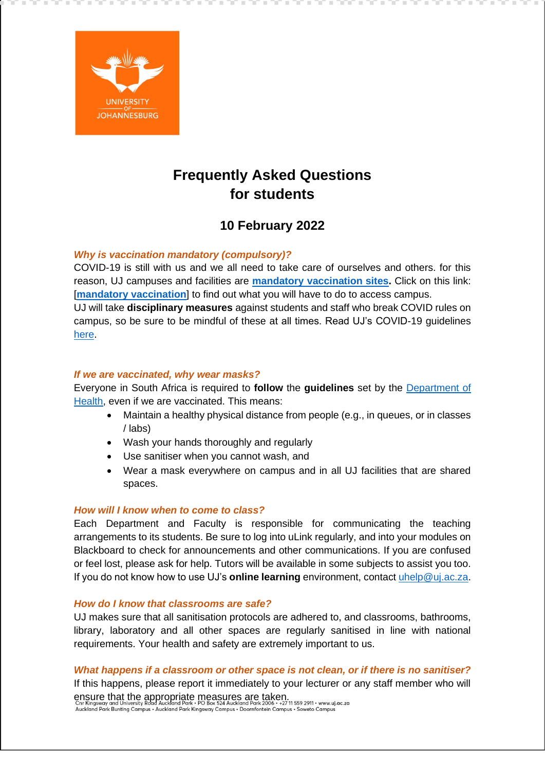

# **Frequently Asked Questions for students**

## **10 February 2022**

## *Why is vaccination mandatory (compulsory)?*

COVID-19 is still with us and we all need to take care of ourselves and others. for this reason, UJ campuses and facilities are **[mandatory vaccination sites.](https://www.uj.ac.za/covid-19/)** Click on this link: [**[mandatory vaccination](https://www.uj.ac.za/covid-19/)**] to find out what you will have to do to access campus. UJ will take **disciplinary measures** against students and staff who break COVID rules on campus, so be sure to be mindful of these at all times. Read UJ's COVID-19 guidelines [here.](https://www.uj.ac.za/covid-19/)

## *If we are vaccinated, why wear masks?*

Everyone in South Africa is required to **follow** the **guidelines** set by the [Department of](https://sacoronavirus.co.za/)  [Health,](https://sacoronavirus.co.za/) even if we are vaccinated. This means:

- Maintain a healthy physical distance from people (e.g., in queues, or in classes / labs)
- Wash your hands thoroughly and regularly
- Use sanitiser when you cannot wash, and
- Wear a mask everywhere on campus and in all UJ facilities that are shared spaces.

## *How will I know when to come to class?*

Each Department and Faculty is responsible for communicating the teaching arrangements to its students. Be sure to log into uLink regularly, and into your modules on Blackboard to check for announcements and other communications. If you are confused or feel lost, please ask for help. Tutors will be available in some subjects to assist you too. If you do not know how to use UJ's **online learning** environment, contact [uhelp@uj.ac.za.](mailto:uhelp@uj.ac.za)

## *How do I know that classrooms are safe?*

UJ makes sure that all sanitisation protocols are adhered to, and classrooms, bathrooms, library, laboratory and all other spaces are regularly sanitised in line with national requirements. Your health and safety are extremely important to us.

## *What happens if a classroom or other space is not clean, or if there is no sanitiser?*

If this happens, please report it immediately to your lecturer or any staff member who will ensure that the appropriate measures are taken.

Chr Kingsway and University Road Auckland Park • PO Box 324 Auckland Park 2006 • +27 ii 359 2911 • www.<br>Auckland Park Bunting Campus • Auckland Park Kingsway Campus • Doornfontein Campus • Soweto Campi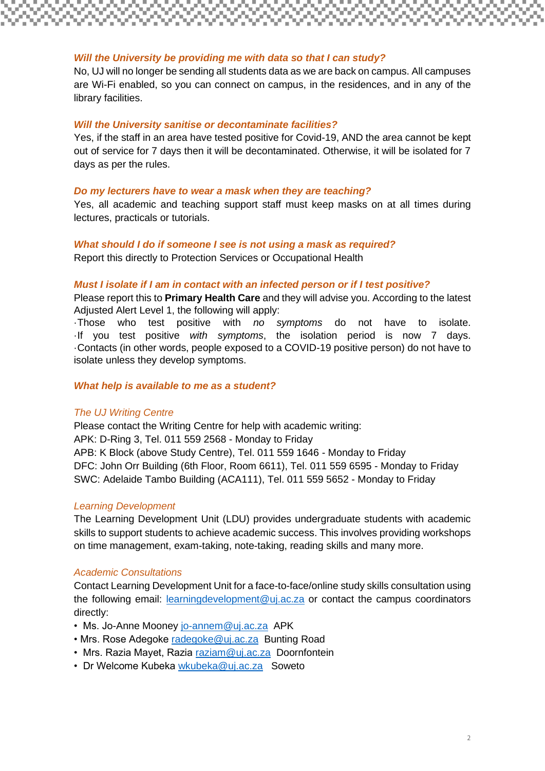## *Will the University be providing me with data so that I can study?*

No, UJ will no longer be sending all students data as we are back on campus. All campuses are Wi-Fi enabled, so you can connect on campus, in the residences, and in any of the library facilities.

#### *Will the University sanitise or decontaminate facilities?*

Yes, if the staff in an area have tested positive for Covid-19, AND the area cannot be kept out of service for 7 days then it will be decontaminated. Otherwise, it will be isolated for 7 days as per the rules.

#### *Do my lecturers have to wear a mask when they are teaching?*

Yes, all academic and teaching support staff must keep masks on at all times during lectures, practicals or tutorials.

### *What should I do if someone I see is not using a mask as required?*

Report this directly to Protection Services or Occupational Health

#### *Must I isolate if I am in contact with an infected person or if I test positive?*

Please report this to **Primary Health Care** and they will advise you. According to the latest Adjusted Alert Level 1, the following will apply:

·Those who test positive with *no symptoms* do not have to isolate. ·If you test positive *with symptoms*, the isolation period is now 7 days. ·Contacts (in other words, people exposed to a COVID-19 positive person) do not have to isolate unless they develop symptoms.

#### *What help is available to me as a student?*

#### *The UJ Writing Centre*

Please contact the Writing Centre for help with academic writing: APK: D-Ring 3, Tel. 011 559 2568 - Monday to Friday APB: K Block (above Study Centre), Tel. 011 559 1646 - Monday to Friday DFC: John Orr Building (6th Floor, Room 6611), Tel. 011 559 6595 - Monday to Friday SWC: Adelaide Tambo Building (ACA111), Tel. 011 559 5652 - Monday to Friday

#### *Learning Development*

The Learning Development Unit (LDU) provides undergraduate students with academic skills to support students to achieve academic success. This involves providing workshops on time management, exam-taking, note-taking, reading skills and many more.

#### *Academic Consultations*

Contact Learning Development Unit for a face-to-face/online study skills consultation using the following email: [learningdevelopment@uj.ac.za](mailto:learningdevelopment@uj.ac.za) or contact the campus coordinators directly:

- Ms. Jo-Anne Mooney [jo-annem@uj.ac.za](mailto:jo-annem@uj.ac.za) APK
- Mrs. Rose Adegoke [radegoke@uj.ac.za](mailto:radegoke@uj.ac.za) Bunting Road
- Mrs. Razia Mayet, Razia [raziam@uj.ac.za](mailto:raziam@uj.ac.za) Doornfontein
- Dr Welcome Kubeka [wkubeka@uj.ac.za](mailto:wkubeka@uj.ac.za) Soweto